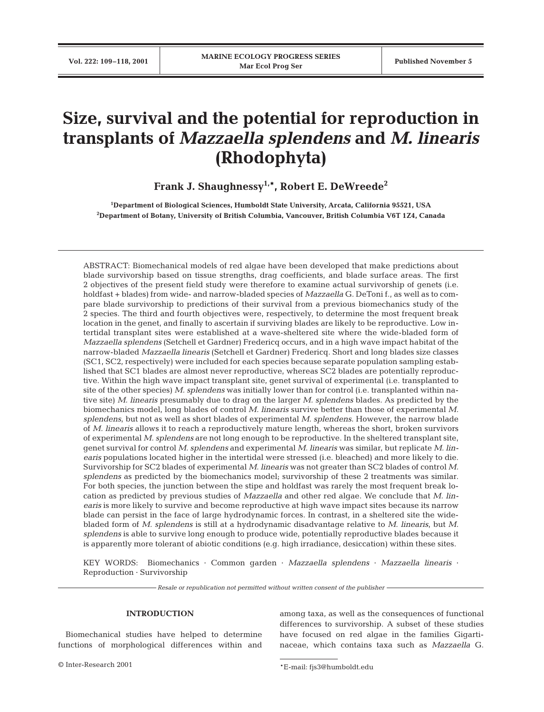# **Size, survival and the potential for reproduction in transplants of** *Mazzaella splendens* **and** *M. linearis* **(Rhodophyta)**

**Frank J. Shaughnessy1,\*, Robert E. DeWreede2**

**1 Department of Biological Sciences, Humboldt State University, Arcata, California 95521, USA 2 Department of Botany, University of British Columbia, Vancouver, British Columbia V6T 1Z4, Canada**

ABSTRACT: Biomechanical models of red algae have been developed that make predictions about blade survivorship based on tissue strengths, drag coefficients, and blade surface areas. The first 2 objectives of the present field study were therefore to examine actual survivorship of genets (i.e. holdfast + blades) from wide- and narrow-bladed species of *Mazzaella* G. DeToni f., as well as to compare blade survivorship to predictions of their survival from a previous biomechanics study of the 2 species. The third and fourth objectives were, respectively, to determine the most frequent break location in the genet, and finally to ascertain if surviving blades are likely to be reproductive. Low intertidal transplant sites were established at a wave-sheltered site where the wide-bladed form of *Mazzaella splendens* (Setchell et Gardner) Fredericq occurs, and in a high wave impact habitat of the narrow-bladed *Mazzaella linearis* (Setchell et Gardner) Fredericq. Short and long blades size classes (SC1, SC2, respectively) were included for each species because separate population sampling established that SC1 blades are almost never reproductive, whereas SC2 blades are potentially reproductive. Within the high wave impact transplant site, genet survival of experimental (i.e. transplanted to site of the other species) *M. splendens* was initially lower than for control (i.e. transplanted within native site) *M. linearis* presumably due to drag on the larger *M. splendens* blades. As predicted by the biomechanics model, long blades of control *M. linearis* survive better than those of experimental *M. splendens*, but not as well as short blades of experimental *M. splendens*. However, the narrow blade of *M. linearis* allows it to reach a reproductively mature length, whereas the short, broken survivors of experimental *M. splendens* are not long enough to be reproductive. In the sheltered transplant site, genet survival for control *M. splendens* and experimental *M. linearis* was similar, but replicate *M. linearis* populations located higher in the intertidal were stressed (i.e. bleached) and more likely to die. Survivorship for SC2 blades of experimental *M. linearis* was not greater than SC2 blades of control *M. splendens* as predicted by the biomechanics model; survivorship of these 2 treatments was similar. For both species, the junction between the stipe and holdfast was rarely the most frequent break location as predicted by previous studies of *Mazzaella* and other red algae. We conclude that *M. linearis* is more likely to survive and become reproductive at high wave impact sites because its narrow blade can persist in the face of large hydrodynamic forces. In contrast, in a sheltered site the widebladed form of *M. splendens* is still at a hydrodynamic disadvantage relative to *M. linearis*, but *M. splendens* is able to survive long enough to produce wide, potentially reproductive blades because it is apparently more tolerant of abiotic conditions (e.g. high irradiance, desiccation) within these sites.

KEY WORDS: Biomechanics · Common garden · *Mazzaella splendens* · *Mazzaella linearis* · Reproduction · Survivorship

*Resale or republication not permitted without written consent of the publisher*

## **INTRODUCTION**

Biomechanical studies have helped to determine functions of morphological differences within and

© Inter-Research 2001 \*E-mail: fjs3@humboldt.edu

among taxa, as well as the consequences of functional differences to survivorship. A subset of these studies have focused on red algae in the families Gigartinaceae, which contains taxa such as *Mazzaella* G.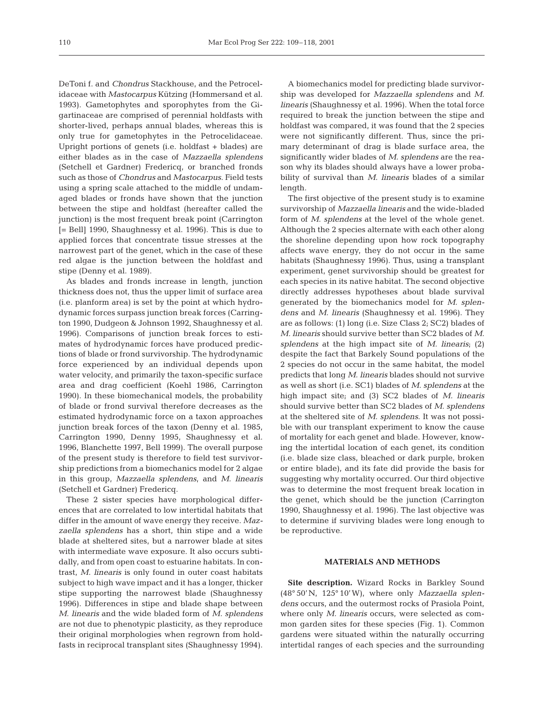DeToni f. and *Chondrus* Stackhouse, and the Petrocelidaceae with *Mastocarpus* Kützing (Hommersand et al. 1993). Gametophytes and sporophytes from the Gigartinaceae are comprised of perennial holdfasts with shorter-lived, perhaps annual blades, whereas this is only true for gametophytes in the Petrocelidaceae. Upright portions of genets (i.e. holdfast + blades) are either blades as in the case of *Mazzaella splendens* (Setchell et Gardner) Fredericq, or branched fronds such as those of *Chondrus* and *Mastocarpus*. Field tests using a spring scale attached to the middle of undamaged blades or fronds have shown that the junction between the stipe and holdfast (hereafter called the junction) is the most frequent break point (Carrington [= Bell] 1990, Shaughnessy et al. 1996). This is due to applied forces that concentrate tissue stresses at the narrowest part of the genet, which in the case of these red algae is the junction between the holdfast and stipe (Denny et al. 1989).

As blades and fronds increase in length, junction thickness does not, thus the upper limit of surface area (i.e. planform area) is set by the point at which hydrodynamic forces surpass junction break forces (Carrington 1990, Dudgeon & Johnson 1992, Shaughnessy et al. 1996). Comparisons of junction break forces to estimates of hydrodynamic forces have produced predictions of blade or frond survivorship. The hydrodynamic force experienced by an individual depends upon water velocity, and primarily the taxon-specific surface area and drag coefficient (Koehl 1986, Carrington 1990). In these biomechanical models, the probability of blade or frond survival therefore decreases as the estimated hydrodynamic force on a taxon approaches junction break forces of the taxon (Denny et al. 1985, Carrington 1990, Denny 1995, Shaughnessy et al. 1996, Blanchette 1997, Bell 1999). The overall purpose of the present study is therefore to field test survivorship predictions from a biomechanics model for 2 algae in this group, *Mazzaella splendens*, and *M. linearis* (Setchell et Gardner) Fredericq.

These 2 sister species have morphological differences that are correlated to low intertidal habitats that differ in the amount of wave energy they receive. *Mazzaella splendens* has a short, thin stipe and a wide blade at sheltered sites, but a narrower blade at sites with intermediate wave exposure. It also occurs subtidally, and from open coast to estuarine habitats. In contrast, *M. linearis* is only found in outer coast habitats subject to high wave impact and it has a longer, thicker stipe supporting the narrowest blade (Shaughnessy 1996). Differences in stipe and blade shape between *M. linearis* and the wide bladed form of *M. splendens* are not due to phenotypic plasticity, as they reproduce their original morphologies when regrown from holdfasts in reciprocal transplant sites (Shaughnessy 1994).

A biomechanics model for predicting blade survivorship was developed for *Mazzaella splendens* and *M. linearis* (Shaughnessy et al. 1996). When the total force required to break the junction between the stipe and holdfast was compared, it was found that the 2 species were not significantly different. Thus, since the primary determinant of drag is blade surface area, the significantly wider blades of *M. splendens* are the reason why its blades should always have a lower probability of survival than *M. linearis* blades of a similar length.

The first objective of the present study is to examine survivorship of *Mazzaella linearis* and the wide-bladed form of *M. splendens* at the level of the whole genet. Although the 2 species alternate with each other along the shoreline depending upon how rock topography affects wave energy, they do not occur in the same habitats (Shaughnessy 1996). Thus, using a transplant experiment, genet survivorship should be greatest for each species in its native habitat. The second objective directly addresses hypotheses about blade survival generated by the biomechanics model for *M. splendens* and *M. linearis* (Shaughnessy et al. 1996). They are as follows: (1) long (i.e. Size Class 2; SC2) blades of *M. linearis* should survive better than SC2 blades of *M. splendens* at the high impact site of *M. linearis*; (2) despite the fact that Barkely Sound populations of the 2 species do not occur in the same habitat, the model predicts that long *M. linearis* blades should not survive as well as short (i.e. SC1) blades of *M. splendens* at the high impact site; and (3) SC2 blades of *M. linearis* should survive better than SC2 blades of *M. splendens* at the sheltered site of *M. splendens*. It was not possible with our transplant experiment to know the cause of mortality for each genet and blade. However, knowing the intertidal location of each genet, its condition (i.e. blade size class, bleached or dark purple, broken or entire blade), and its fate did provide the basis for suggesting why mortality occurred. Our third objective was to determine the most frequent break location in the genet, which should be the junction (Carrington 1990, Shaughnessy et al. 1996). The last objective was to determine if surviving blades were long enough to be reproductive.

## **MATERIALS AND METHODS**

**Site description.** Wizard Rocks in Barkley Sound (48° 50'N, 125° 10'W), where only *Mazzaella splendens* occurs, and the outermost rocks of Prasiola Point, where only *M. linearis* occurs, were selected as common garden sites for these species (Fig. 1). Common gardens were situated within the naturally occurring intertidal ranges of each species and the surrounding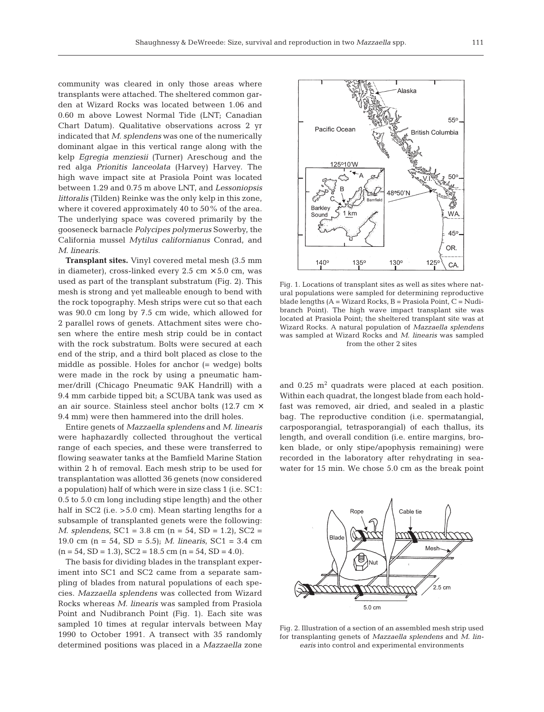community was cleared in only those areas where transplants were attached. The sheltered common garden at Wizard Rocks was located between 1.06 and 0.60 m above Lowest Normal Tide (LNT; Canadian Chart Datum). Qualitative observations across 2 yr indicated that *M. splendens* was one of the numerically dominant algae in this vertical range along with the kelp *Egregia menziesii* (Turner) Areschoug and the red alga *Prionitis lanceolata* (Harvey) Harvey. The high wave impact site at Prasiola Point was located between 1.29 and 0.75 m above LNT, and *Lessoniopsis littoralis* (Tilden) Reinke was the only kelp in this zone, where it covered approximately 40 to 50% of the area. The underlying space was covered primarily by the gooseneck barnacle *Polycipes polymerus* Sowerby, the California mussel *Mytilus californianus* Conrad, and *M. linearis*.

**Transplant sites.** Vinyl covered metal mesh (3.5 mm in diameter), cross-linked every 2.5 cm  $\times$  5.0 cm, was used as part of the transplant substratum (Fig. 2). This mesh is strong and yet malleable enough to bend with the rock topography. Mesh strips were cut so that each was 90.0 cm long by 7.5 cm wide, which allowed for 2 parallel rows of genets. Attachment sites were chosen where the entire mesh strip could be in contact with the rock substratum. Bolts were secured at each end of the strip, and a third bolt placed as close to the middle as possible. Holes for anchor (= wedge) bolts were made in the rock by using a pneumatic hammer/drill (Chicago Pneumatic 9AK Handrill) with a 9.4 mm carbide tipped bit; a SCUBA tank was used as an air source. Stainless steel anchor bolts (12.7 cm × 9.4 mm) were then hammered into the drill holes.

Entire genets of *Mazzaella splendens* and *M. linearis* were haphazardly collected throughout the vertical range of each species, and these were transferred to flowing seawater tanks at the Bamfield Marine Station within 2 h of removal. Each mesh strip to be used for transplantation was allotted 36 genets (now considered a population) half of which were in size class 1 (i.e. SC1: 0.5 to 5.0 cm long including stipe length) and the other half in SC2 (i.e. >5.0 cm). Mean starting lengths for a subsample of transplanted genets were the following: *M. splendens*, SC1 = 3.8 cm (n = 54, SD = 1.2), SC2 = 19.0 cm (n = 54, SD = 5.5); *M. linearis*, SC1 = 3.4 cm  $(n = 54, SD = 1.3), SC2 = 18.5 cm (n = 54, SD = 4.0).$ 

The basis for dividing blades in the transplant experiment into SC1 and SC2 came from a separate sampling of blades from natural populations of each species. *Mazzaella splendens* was collected from Wizard Rocks whereas *M. linearis* was sampled from Prasiola Point and Nudibranch Point (Fig. 1). Each site was sampled 10 times at regular intervals between May 1990 to October 1991. A transect with 35 randomly determined positions was placed in a *Mazzaella* zone



Fig. 1. Locations of transplant sites as well as sites where natural populations were sampled for determining reproductive blade lengths (A = Wizard Rocks, B = Prasiola Point, C = Nudibranch Point). The high wave impact transplant site was located at Prasiola Point; the sheltered transplant site was at Wizard Rocks. A natural population of *Mazzaella splendens* was sampled at Wizard Rocks and *M. linearis* was sampled from the other 2 sites

and  $0.25$   $\mathrm{m}^2$  quadrats were placed at each position. Within each quadrat, the longest blade from each holdfast was removed, air dried, and sealed in a plastic bag. The reproductive condition (i.e. spermatangial, carposporangial, tetrasporangial) of each thallus, its length, and overall condition (i.e. entire margins, broken blade, or only stipe/apophysis remaining) were recorded in the laboratory after rehydrating in seawater for 15 min. We chose 5.0 cm as the break point



Fig. 2. Illustration of a section of an assembled mesh strip used for transplanting genets of *Mazzaella splendens* and *M. linearis* into control and experimental environments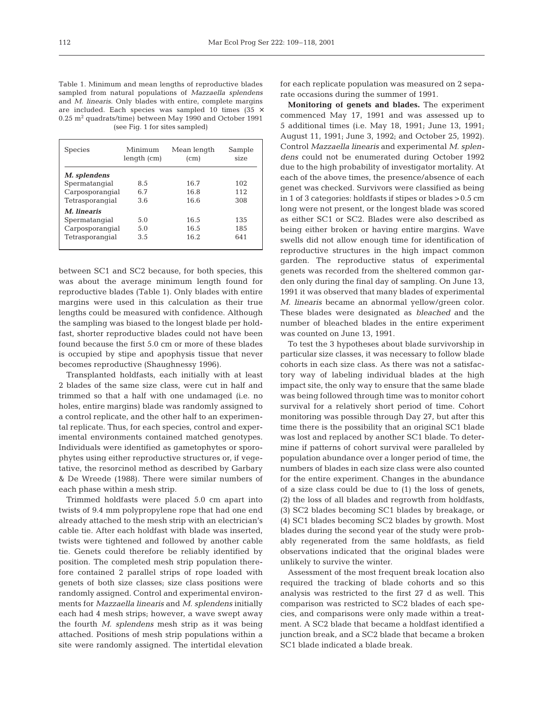Table 1. Minimum and mean lengths of reproductive blades sampled from natural populations of *Mazzaella splendens* and *M. linearis*. Only blades with entire, complete margins are included. Each species was sampled 10 times (35  $\times$  $0.25$  m<sup>2</sup> quadrats/time) between May 1990 and October 1991 (see Fig. 1 for sites sampled)

| <b>Species</b>  | Minimum<br>length (cm) | Mean length<br>(c <sub>m</sub> ) | Sample<br>size |
|-----------------|------------------------|----------------------------------|----------------|
| M. splendens    |                        |                                  |                |
| Spermatangial   | 8.5                    | 16.7                             | 102            |
| Carposporangial | 6.7                    | 16.8                             | 112            |
| Tetrasporangial | 3.6                    | 16.6                             | 308            |
| M. linearis     |                        |                                  |                |
| Spermatangial   | 5.0                    | 16.5                             | 135            |
| Carposporangial | 5.0                    | 16.5                             | 185            |
| Tetrasporangial | 3.5                    | 16.2.                            | 641            |

between SC1 and SC2 because, for both species, this was about the average minimum length found for reproductive blades (Table 1). Only blades with entire margins were used in this calculation as their true lengths could be measured with confidence. Although the sampling was biased to the longest blade per holdfast, shorter reproductive blades could not have been found because the first 5.0 cm or more of these blades is occupied by stipe and apophysis tissue that never becomes reproductive (Shaughnessy 1996).

Transplanted holdfasts, each initially with at least 2 blades of the same size class, were cut in half and trimmed so that a half with one undamaged (i.e. no holes, entire margins) blade was randomly assigned to a control replicate, and the other half to an experimental replicate. Thus, for each species, control and experimental environments contained matched genotypes. Individuals were identified as gametophytes or sporophytes using either reproductive structures or, if vegetative, the resorcinol method as described by Garbary & De Wreede (1988). There were similar numbers of each phase within a mesh strip.

Trimmed holdfasts were placed 5.0 cm apart into twists of 9.4 mm polypropylene rope that had one end already attached to the mesh strip with an electrician's cable tie. After each holdfast with blade was inserted, twists were tightened and followed by another cable tie. Genets could therefore be reliably identified by position. The completed mesh strip population therefore contained 2 parallel strips of rope loaded with genets of both size classes; size class positions were randomly assigned. Control and experimental environments for *Mazzaella linearis* and *M. splendens* initially each had 4 mesh strips; however, a wave swept away the fourth *M. splendens* mesh strip as it was being attached. Positions of mesh strip populations within a site were randomly assigned. The intertidal elevation

for each replicate population was measured on 2 separate occasions during the summer of 1991.

**Monitoring of genets and blades.** The experiment commenced May 17, 1991 and was assessed up to 5 additional times (i.e. May 18, 1991; June 13, 1991; August 11, 1991; June 3, 1992; and October 25, 1992). Control *Mazzaella linearis* and experimental *M. splendens* could not be enumerated during October 1992 due to the high probability of investigator mortality. At each of the above times, the presence/absence of each genet was checked. Survivors were classified as being in 1 of 3 categories: holdfasts if stipes or blades >0.5 cm long were not present, or the longest blade was scored as either SC1 or SC2. Blades were also described as being either broken or having entire margins. Wave swells did not allow enough time for identification of reproductive structures in the high impact common garden. The reproductive status of experimental genets was recorded from the sheltered common garden only during the final day of sampling. On June 13, 1991 it was observed that many blades of experimental *M. linearis* became an abnormal yellow/green color. These blades were designated as *bleached* and the number of bleached blades in the entire experiment was counted on June 13, 1991.

To test the 3 hypotheses about blade survivorship in particular size classes, it was necessary to follow blade cohorts in each size class. As there was not a satisfactory way of labeling individual blades at the high impact site, the only way to ensure that the same blade was being followed through time was to monitor cohort survival for a relatively short period of time. Cohort monitoring was possible through Day 27, but after this time there is the possibility that an original SC1 blade was lost and replaced by another SC1 blade. To determine if patterns of cohort survival were paralleled by population abundance over a longer period of time, the numbers of blades in each size class were also counted for the entire experiment. Changes in the abundance of a size class could be due to (1) the loss of genets, (2) the loss of all blades and regrowth from holdfasts, (3) SC2 blades becoming SC1 blades by breakage, or (4) SC1 blades becoming SC2 blades by growth. Most blades during the second year of the study were probably regenerated from the same holdfasts, as field observations indicated that the original blades were unlikely to survive the winter.

Assessment of the most frequent break location also required the tracking of blade cohorts and so this analysis was restricted to the first 27 d as well. This comparison was restricted to SC2 blades of each species, and comparisons were only made within a treatment. A SC2 blade that became a holdfast identified a junction break, and a SC2 blade that became a broken SC1 blade indicated a blade break.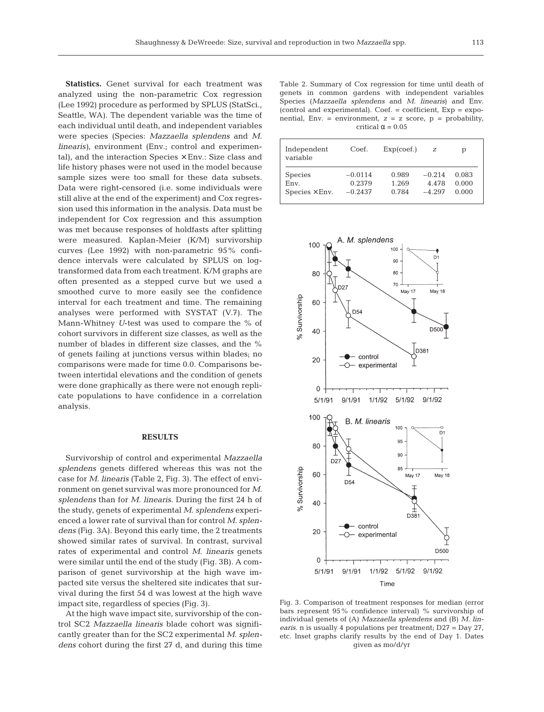**Statistics.** Genet survival for each treatment was analyzed using the non-parametric Cox regression (Lee 1992) procedure as performed by SPLUS (StatSci., Seattle, WA). The dependent variable was the time of each individual until death, and independent variables were species (Species: *Mazzaella splendens* and *M. linearis)*, environment (Env.; control and experimental), and the interaction Species  $\times$  Env.: Size class and life history phases were not used in the model because sample sizes were too small for these data subsets. Data were right-censored (i.e. some individuals were still alive at the end of the experiment) and Cox regression used this information in the analysis. Data must be independent for Cox regression and this assumption was met because responses of holdfasts after splitting were measured. Kaplan-Meier (K/M) survivorship curves (Lee 1992) with non-parametric 95% confidence intervals were calculated by SPLUS on logtransformed data from each treatment. K/M graphs are often presented as a stepped curve but we used a smoothed curve to more easily see the confidence interval for each treatment and time. The remaining analyses were performed with SYSTAT (V.7). The Mann-Whitney *U*-test was used to compare the % of cohort survivors in different size classes, as well as the number of blades in different size classes, and the % of genets failing at junctions versus within blades; no comparisons were made for time 0.0. Comparisons between intertidal elevations and the condition of genets were done graphically as there were not enough replicate populations to have confidence in a correlation analysis.

#### **RESULTS**

Survivorship of control and experimental *Mazzaella splendens* genets differed whereas this was not the case for *M. linearis* (Table 2, Fig. 3). The effect of environment on genet survival was more pronounced for *M. splendens* than for *M. linearis*. During the first 24 h of the study, genets of experimental *M. splendens* experienced a lower rate of survival than for control *M. splendens* (Fig. 3A). Beyond this early time, the 2 treatments showed similar rates of survival. In contrast, survival rates of experimental and control *M*. *linearis* genets were similar until the end of the study (Fig. 3B). A comparison of genet survivorship at the high wave impacted site versus the sheltered site indicates that survival during the first 54 d was lowest at the high wave impact site, regardless of species (Fig. 3).

At the high wave impact site, survivorship of the control SC2 *Mazzaella linearis* blade cohort was significantly greater than for the SC2 experimental *M. splendens* cohort during the first 27 d, and during this time

Table 2. Summary of Cox regression for time until death of genets in common gardens with independent variables Species (*Mazzaella splendens* and *M. linearis*) and Env.  $(control and experimental)$ .  $Coef. = coefficient$ .  $Exp = expo$ nential, Env. = environment,  $z = z$  score,  $p =$  probability, critical  $\alpha = 0.05$ 

| Independent<br>variable | Coef.     | Exp(coef.) | z        | р     |
|-------------------------|-----------|------------|----------|-------|
| <b>Species</b>          | $-0.0114$ | 0.989      | $-0.214$ | 0.083 |
| Env.                    | 0.2379    | 1.269      | 4.478    | 0.000 |
| $Species \times Env.$   | $-0.2437$ | 0.784      | $-4.297$ | 0.000 |



Fig. 3. Comparison of treatment responses for median (error bars represent 95% confidence interval) % survivorship of individual genets of (A) *Mazzaella splendens* and (B) *M. linearis.* n is usually 4 populations per treatment; D27 = Day 27, etc. Inset graphs clarify results by the end of Day 1. Dates given as mo/d/yr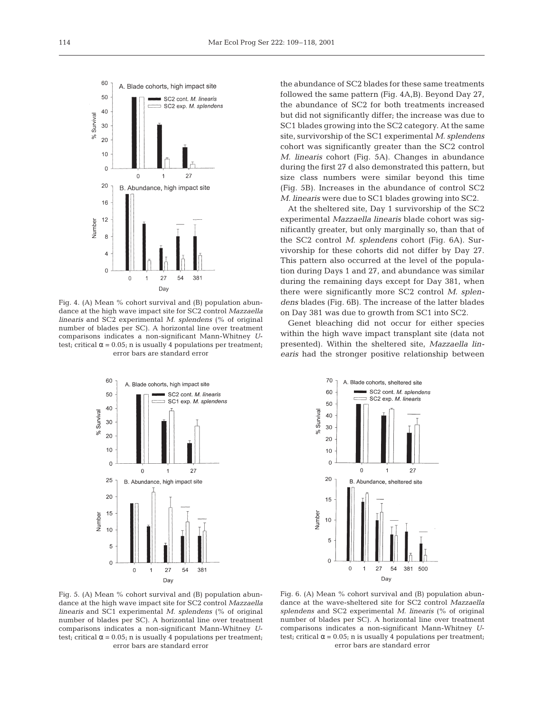

Fig. 4. (A) Mean % cohort survival and (B) population abundance at the high wave impact site for SC2 control *Mazzaella linearis* and SC2 experimental *M. splendens* (% of original number of blades per SC). A horizontal line over treatment comparisons indicates a non-significant Mann-Whitney *U*test; critical  $\alpha$  = 0.05; n is usually 4 populations per treatment; error bars are standard error

the abundance of SC2 blades for these same treatments followed the same pattern (Fig. 4A,B). Beyond Day 27, the abundance of SC2 for both treatments increased but did not significantly differ; the increase was due to SC1 blades growing into the SC2 category. At the same site, survivorship of the SC1 experimental *M. splendens* cohort was significantly greater than the SC2 control *M. linearis* cohort (Fig. 5A). Changes in abundance during the first 27 d also demonstrated this pattern, but size class numbers were similar beyond this time (Fig. 5B). Increases in the abundance of control SC2 *M. linearis* were due to SC1 blades growing into SC2.

At the sheltered site, Day 1 survivorship of the SC2 experimental *Mazzaella linearis* blade cohort was significantly greater, but only marginally so, than that of the SC2 control *M. splendens* cohort (Fig. 6A). Survivorship for these cohorts did not differ by Day 27. This pattern also occurred at the level of the population during Days 1 and 27, and abundance was similar during the remaining days except for Day 381, when there were significantly more SC2 control *M. splendens* blades (Fig. 6B). The increase of the latter blades on Day 381 was due to growth from SC1 into SC2.

Genet bleaching did not occur for either species within the high wave impact transplant site (data not presented). Within the sheltered site, *Mazzaella linearis* had the stronger positive relationship between





Fig. 5. (A) Mean % cohort survival and (B) population abundance at the high wave impact site for SC2 control *Mazzaella linearis* and SC1 experimental *M. splendens* (% of original number of blades per SC). A horizontal line over treatment comparisons indicates a non-significant Mann-Whitney *U*test; critical  $\alpha$  = 0.05; n is usually 4 populations per treatment; error bars are standard error

Fig. 6. (A) Mean % cohort survival and (B) population abundance at the wave-sheltered site for SC2 control *Mazzaella splendens* and SC2 experimental *M. linearis* (% of original number of blades per SC). A horizontal line over treatment comparisons indicates a non-significant Mann-Whitney *U*test; critical  $\alpha$  = 0.05; n is usually 4 populations per treatment; error bars are standard error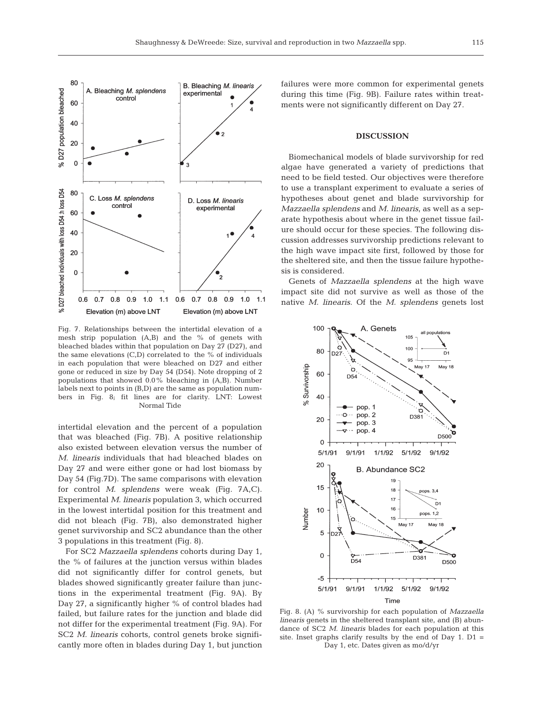

Fig. 7. Relationships between the intertidal elevation of a mesh strip population (A,B) and the % of genets with bleached blades within that population on Day 27 (D27), and the same elevations  $(C,D)$  correlated to the % of individuals in each population that were bleached on D27 and either gone or reduced in size by Day 54 (D54). Note dropping of 2 populations that showed 0.0% bleaching in (A,B). Number labels next to points in (B,D) are the same as population numbers in Fig. 8; fit lines are for clarity. LNT: Lowest Normal Tide

intertidal elevation and the percent of a population that was bleached (Fig. 7B). A positive relationship also existed between elevation versus the number of *M. linearis* individuals that had bleached blades on Day 27 and were either gone or had lost biomass by Day 54 (Fig.7D). The same comparisons with elevation for control *M. splendens* were weak (Fig. 7A,C). Experimental *M. linearis* population 3, which occurred in the lowest intertidal position for this treatment and did not bleach (Fig. 7B), also demonstrated higher genet survivorship and SC2 abundance than the other 3 populations in this treatment (Fig. 8).

For SC2 *Mazzaella splendens* cohorts during Day 1, the % of failures at the junction versus within blades did not significantly differ for control genets, but blades showed significantly greater failure than junctions in the experimental treatment (Fig. 9A). By Day 27, a significantly higher % of control blades had failed, but failure rates for the junction and blade did not differ for the experimental treatment (Fig. 9A). For SC2 *M. linearis* cohorts, control genets broke significantly more often in blades during Day 1, but junction failures were more common for experimental genets during this time (Fig. 9B). Failure rates within treatments were not significantly different on Day 27.

### **DISCUSSION**

Biomechanical models of blade survivorship for red algae have generated a variety of predictions that need to be field tested. Our objectives were therefore to use a transplant experiment to evaluate a series of hypotheses about genet and blade survivorship for *Mazzaella splendens* and *M. linearis*, as well as a separate hypothesis about where in the genet tissue failure should occur for these species. The following discussion addresses survivorship predictions relevant to the high wave impact site first, followed by those for the sheltered site, and then the tissue failure hypothesis is considered.

Genets of *Mazzaella splendens* at the high wave impact site did not survive as well as those of the native *M. linearis*. Of the *M. splendens* genets lost



Fig. 8. (A) % survivorship for each population of *Mazzaella linearis* genets in the sheltered transplant site, and (B) abundance of SC2 *M. linearis* blades for each population at this site. Inset graphs clarify results by the end of Day 1.  $D1 =$ Day 1, etc. Dates given as mo/d/yr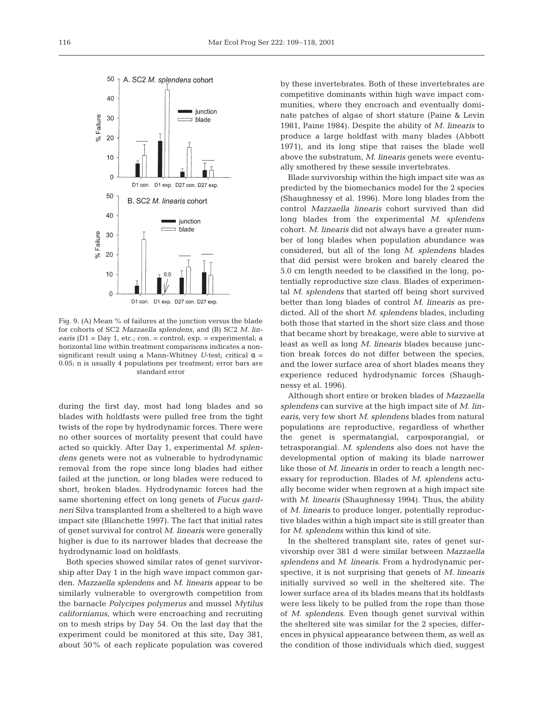

Fig. 9. (A) Mean % of failures at the junction versus the blade for cohorts of SC2 *Mazzaella splendens*, and (B) SC2 *M. linearis* (D1 = Day 1, etc.; con. = control; exp. = experimental; a horizontal line within treatment comparisons indicates a nonsignificant result using a Mann-Whitney *U*-test; critical  $\alpha$  = 0.05; n is usually 4 populations per treatment; error bars are standard error

during the first day, most had long blades and so blades with holdfasts were pulled free from the tight twists of the rope by hydrodynamic forces. There were no other sources of mortality present that could have acted so quickly. After Day 1, experimental *M. splendens* genets were not as vulnerable to hydrodynamic removal from the rope since long blades had either failed at the junction, or long blades were reduced to short, broken blades. Hydrodynamic forces had the same shortening effect on long genets of *Fucus gardneri* Silva transplanted from a sheltered to a high wave impact site (Blanchette 1997). The fact that initial rates of genet survival for control *M. linearis* were generally higher is due to its narrower blades that decrease the hydrodynamic load on holdfasts.

Both species showed similar rates of genet survivorship after Day 1 in the high wave impact common garden. *Mazzaella splendens* and *M. linearis* appear to be similarly vulnerable to overgrowth competition from the barnacle *Polycipes polymerus* and mussel *Mytilus californianus,* which were encroaching and recruiting on to mesh strips by Day 54. On the last day that the experiment could be monitored at this site, Day 381, about 50% of each replicate population was covered

by these invertebrates. Both of these invertebrates are competitive dominants within high wave impact communities, where they encroach and eventually dominate patches of algae of short stature (Paine & Levin 1981, Paine 1984). Despite the ability of *M. linearis* to produce a large holdfast with many blades (Abbott 1971), and its long stipe that raises the blade well above the substratum, *M. linearis* genets were eventually smothered by these sessile invertebrates.

Blade survivorship within the high impact site was as predicted by the biomechanics model for the 2 species (Shaughnessy et al. 1996). More long blades from the control *Mazzaella linearis* cohort survived than did long blades from the experimental *M. splendens* cohort. *M. linearis* did not always have a greater number of long blades when population abundance was considered, but all of the long *M. splendens* blades that did persist were broken and barely cleared the 5.0 cm length needed to be classified in the long, potentially reproductive size class. Blades of experimental *M. splendens* that started off being short survived better than long blades of control *M. linearis* as predicted. All of the short *M. splendens* blades, including both those that started in the short size class and those that became short by breakage, were able to survive at least as well as long *M. linearis* blades because junction break forces do not differ between the species, and the lower surface area of short blades means they experience reduced hydrodynamic forces (Shaughnessy et al. 1996).

Although short entire or broken blades of *Mazzaella splendens* can survive at the high impact site of *M. linearis*, very few short *M. splendens* blades from natural populations are reproductive, regardless of whether the genet is spermatangial, carposporangial, or tetrasporangial. *M. splendens* also does not have the developmental option of making its blade narrower like those of *M. linearis* in order to reach a length necessary for reproduction. Blades of *M. splendens* actually become wider when regrown at a high impact site with *M. linearis* (Shaughnessy 1994). Thus, the ability of *M. linearis* to produce longer, potentially reproductive blades within a high impact site is still greater than for *M. splendens* within this kind of site.

In the sheltered transplant site, rates of genet survivorship over 381 d were similar between *Mazzaella splendens* and *M. linearis*. From a hydrodynamic perspective, it is not surprising that genets of *M. linearis* initially survived so well in the sheltered site. The lower surface area of its blades means that its holdfasts were less likely to be pulled from the rope than those of *M. splendens*. Even though genet survival within the sheltered site was similar for the 2 species, differences in physical appearance between them, as well as the condition of those individuals which died, suggest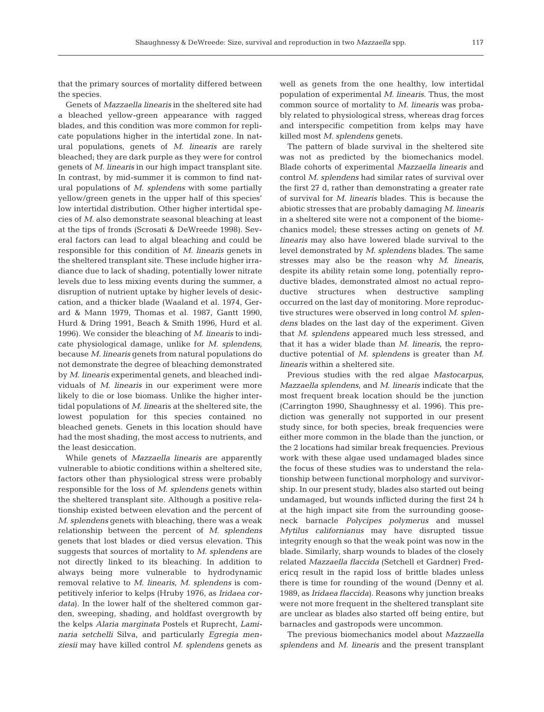that the primary sources of mortality differed between the species.

Genets of *Mazzaella linearis* in the sheltered site had a bleached yellow-green appearance with ragged blades, and this condition was more common for replicate populations higher in the intertidal zone. In natural populations, genets of *M. linearis* are rarely bleached; they are dark purple as they were for control genets of *M. linearis* in our high impact transplant site. In contrast, by mid-summer it is common to find natural populations of *M. splendens* with some partially yellow/green genets in the upper half of this species' low intertidal distribution. Other higher intertidal species of *M.* also demonstrate seasonal bleaching at least at the tips of fronds (Scrosati & DeWreede 1998). Several factors can lead to algal bleaching and could be responsible for this condition of *M. linearis* genets in the sheltered transplant site. These include higher irradiance due to lack of shading, potentially lower nitrate levels due to less mixing events during the summer, a disruption of nutrient uptake by higher levels of desiccation, and a thicker blade (Waaland et al. 1974, Gerard & Mann 1979, Thomas et al. 1987, Gantt 1990, Hurd & Dring 1991, Beach & Smith 1996, Hurd et al. 1996). We consider the bleaching of *M. linearis* to indicate physiological damage, unlike for *M. splendens*, because *M. linearis* genets from natural populations do not demonstrate the degree of bleaching demonstrated by *M. linearis* experimental genets, and bleached individuals of *M. linearis* in our experiment were more likely to die or lose biomass. Unlike the higher intertidal populations of *M. lin*earis at the sheltered site, the lowest population for this species contained no bleached genets. Genets in this location should have had the most shading, the most access to nutrients, and the least desiccation.

While genets of *Mazzaella linearis* are apparently vulnerable to abiotic conditions within a sheltered site, factors other than physiological stress were probably responsible for the loss of *M. splendens* genets within the sheltered transplant site. Although a positive relationship existed between elevation and the percent of *M. splendens* genets with bleaching, there was a weak relationship between the percent of *M. splendens* genets that lost blades or died versus elevation. This suggests that sources of mortality to *M. splendens* are not directly linked to its bleaching. In addition to always being more vulnerable to hydrodynamic removal relative to *M. linearis*, *M. splendens* is competitively inferior to kelps (Hruby 1976, as *Iridaea cordata*). In the lower half of the sheltered common garden, sweeping, shading, and holdfast overgrowth by the kelps *Alaria marginata* Postels et Ruprecht, *Laminaria setchelli* Silva, and particularly *Egregia menziesii* may have killed control *M. splendens* genets as well as genets from the one healthy, low intertidal population of experimental *M. linearis*. Thus, the most common source of mortality to *M. linearis* was probably related to physiological stress, whereas drag forces and interspecific competition from kelps may have killed most *M. splendens* genets.

The pattern of blade survival in the sheltered site was not as predicted by the biomechanics model. Blade cohorts of experimental *Mazzaella linearis* and control *M. splendens* had similar rates of survival over the first 27 d, rather than demonstrating a greater rate of survival for *M. linearis* blades. This is because the abiotic stresses that are probably damaging *M. linearis* in a sheltered site were not a component of the biomechanics model; these stresses acting on genets of *M. linearis* may also have lowered blade survival to the level demonstrated by *M. splendens* blades. The same stresses may also be the reason why *M. linearis*, despite its ability retain some long, potentially reproductive blades, demonstrated almost no actual reproductive structures when destructive sampling occurred on the last day of monitoring. More reproductive structures were observed in long control *M. splendens* blades on the last day of the experiment. Given that *M. splendens* appeared much less stressed, and that it has a wider blade than *M. linearis*, the reproductive potential of *M. splendens* is greater than *M. linearis* within a sheltered site.

Previous studies with the red algae *Mastocarpus, Mazzaella splendens,* and *M. linearis* indicate that the most frequent break location should be the junction (Carrington 1990, Shaughnessy et al. 1996). This prediction was generally not supported in our present study since, for both species, break frequencies were either more common in the blade than the junction, or the 2 locations had similar break frequencies. Previous work with these algae used undamaged blades since the focus of these studies was to understand the relationship between functional morphology and survivorship. In our present study, blades also started out being undamaged, but wounds inflicted during the first 24 h at the high impact site from the surrounding gooseneck barnacle *Polycipes polymerus* and mussel *Mytilus californianus* may have disrupted tissue integrity enough so that the weak point was now in the blade. Similarly, sharp wounds to blades of the closely related *Mazzaella flaccida* (Setchell et Gardner) Fredericq result in the rapid loss of brittle blades unless there is time for rounding of the wound (Denny et al. 1989, as *Iridaea flaccida*). Reasons why junction breaks were not more frequent in the sheltered transplant site are unclear as blades also started off being entire, but barnacles and gastropods were uncommon.

The previous biomechanics model about *Mazzaella splendens* and *M. linearis* and the present transplant